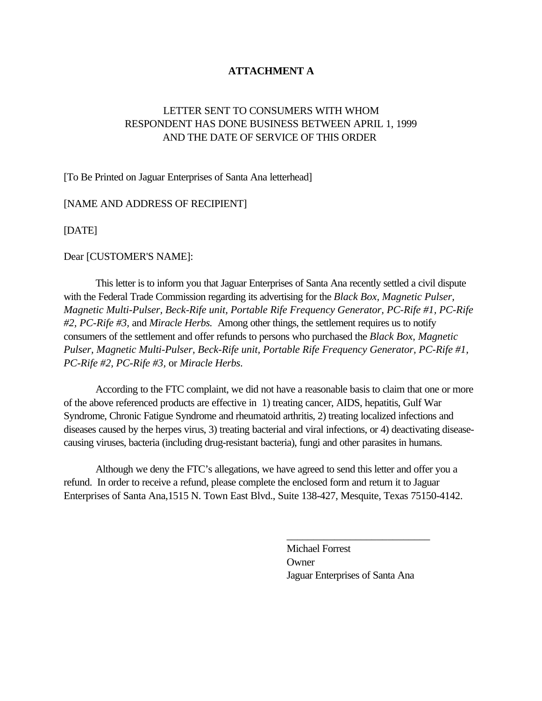## **ATTACHMENT A**

# LETTER SENT TO CONSUMERS WITH WHOM RESPONDENT HAS DONE BUSINESS BETWEEN APRIL 1, 1999 AND THE DATE OF SERVICE OF THIS ORDER

[To Be Printed on Jaguar Enterprises of Santa Ana letterhead]

#### [NAME AND ADDRESS OF RECIPIENT]

[DATE]

Dear [CUSTOMER'S NAME]:

This letter is to inform you that Jaguar Enterprises of Santa Ana recently settled a civil dispute with the Federal Trade Commission regarding its advertising for the *Black Box, Magnetic Pulser, Magnetic Multi-Pulser, Beck-Rife unit, Portable Rife Frequency Generator, PC-Rife #1, PC-Rife #2, PC-Rife #3,* and *Miracle Herbs.* Among other things, the settlement requires us to notify consumers of the settlement and offer refunds to persons who purchased the *Black Box, Magnetic Pulser, Magnetic Multi-Pulser, Beck-Rife unit, Portable Rife Frequency Generator, PC-Rife #1, PC-Rife #2, PC-Rife #3,* or *Miracle Herbs*.

According to the FTC complaint, we did not have a reasonable basis to claim that one or more of the above referenced products are effective in 1) treating cancer, AIDS, hepatitis, Gulf War Syndrome, Chronic Fatigue Syndrome and rheumatoid arthritis, 2) treating localized infections and diseases caused by the herpes virus, 3) treating bacterial and viral infections, or 4) deactivating diseasecausing viruses, bacteria (including drug-resistant bacteria), fungi and other parasites in humans.

Although we deny the FTC's allegations, we have agreed to send this letter and offer you a refund. In order to receive a refund, please complete the enclosed form and return it to Jaguar Enterprises of Santa Ana,1515 N. Town East Blvd., Suite 138-427, Mesquite, Texas 75150-4142.

> Michael Forrest **Owner** Jaguar Enterprises of Santa Ana

\_\_\_\_\_\_\_\_\_\_\_\_\_\_\_\_\_\_\_\_\_\_\_\_\_\_\_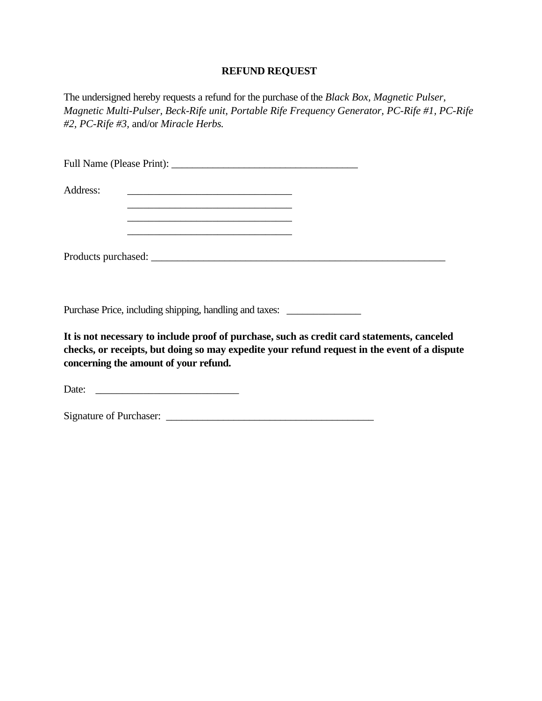### **REFUND REQUEST**

The undersigned hereby requests a refund for the purchase of the *Black Box, Magnetic Pulser*, *Magnetic Multi-Pulser, Beck-Rife unit, Portable Rife Frequency Generator, PC-Rife #1, PC-Rife #2, PC-Rife #3,* and/or *Miracle Herbs.*

| Address: |  |  |  |
|----------|--|--|--|
|          |  |  |  |
|          |  |  |  |
|          |  |  |  |
|          |  |  |  |
|          |  |  |  |

Purchase Price, including shipping, handling and taxes: \_\_\_\_\_\_\_\_\_\_\_\_\_\_\_\_\_\_\_\_\_\_\_\_

**It is not necessary to include proof of purchase, such as credit card statements, canceled checks, or receipts, but doing so may expedite your refund request in the event of a dispute concerning the amount of your refund.** 

Date:

Signature of Purchaser: \_\_\_\_\_\_\_\_\_\_\_\_\_\_\_\_\_\_\_\_\_\_\_\_\_\_\_\_\_\_\_\_\_\_\_\_\_\_\_\_